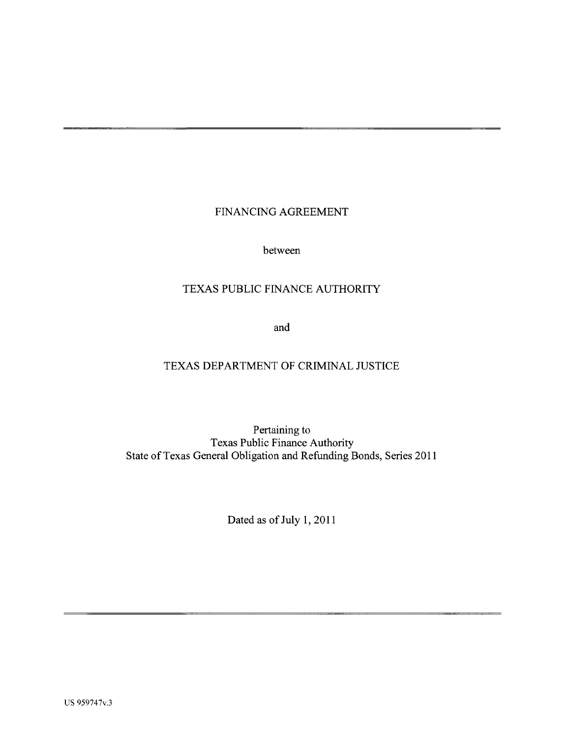# FINANCING AGREEMENT

between

# TEXAS PUBLIC FINANCE AUTHORITY

and

# TEXAS DEPARTMENT OF CRIMINAL JUSTICE

Pertaining to Texas Public Finance Authority State of Texas General Obligation and Refunding Bonds, Series 2011

Dated as of July 1, 2011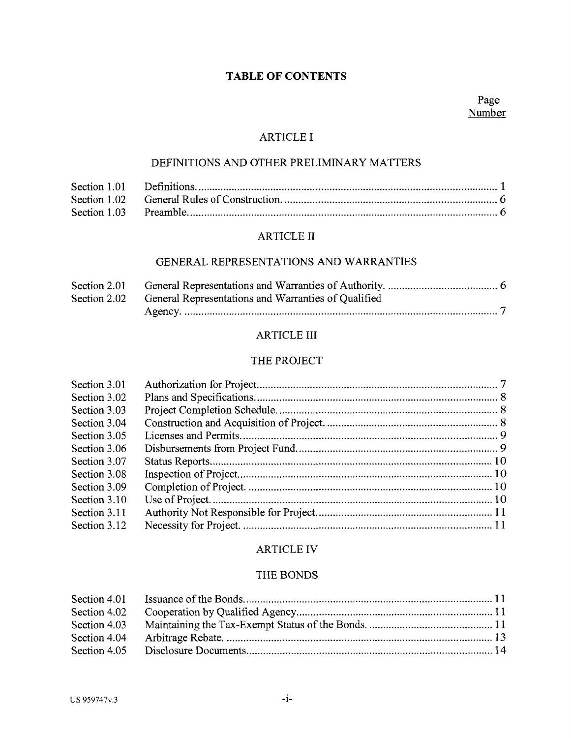# **TABLE OF CONTENTS**

#### ARTICLE I

## DEFINITIONS AND OTHER PRELIMINARY MATTERS

# ARTICLE II

# GENERAL REPRESENTATIONS AND WARRANTIES

| Section 2.01 |                                                     |
|--------------|-----------------------------------------------------|
| Section 2.02 | General Representations and Warranties of Qualified |
|              |                                                     |

#### ARTICLE III

#### THE PROJECT

| Section 3.01 |  |
|--------------|--|
| Section 3.02 |  |
| Section 3.03 |  |
| Section 3.04 |  |
| Section 3.05 |  |
| Section 3.06 |  |
| Section 3.07 |  |
| Section 3.08 |  |
| Section 3.09 |  |
| Section 3.10 |  |
| Section 3.11 |  |
| Section 3.12 |  |
|              |  |

# ARTICLE IV

#### THE BONDS

| Section 4.01 |  |
|--------------|--|
| Section 4.02 |  |
| Section 4.03 |  |
| Section 4.04 |  |
| Section 4.05 |  |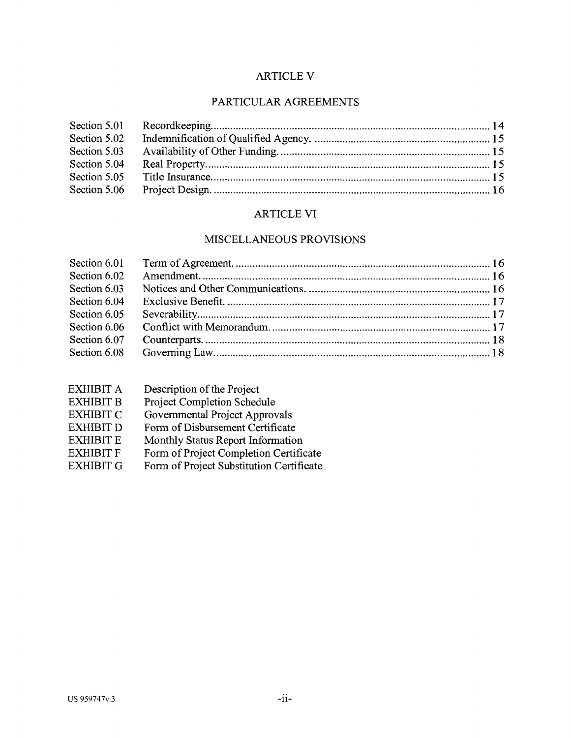# **ARTICLE V**

# PARTICULAR AGREEMENTS

| Section 5.01 |  |
|--------------|--|
| Section 5.02 |  |
| Section 5.03 |  |
| Section 5.04 |  |
| Section 5.05 |  |
| Section 5.06 |  |

# ARTICLE VI

# MISCELLANEOUS PROVISIONS

| Section 6.02 |  |
|--------------|--|
| Section 6.03 |  |
| Section 6.04 |  |
| Section 6.05 |  |
| Section 6.06 |  |
| Section 6.07 |  |
| Section 6.08 |  |
|              |  |

| Description of the Project               |
|------------------------------------------|
| Project Completion Schedule              |
| Governmental Project Approvals           |
| Form of Disbursement Certificate         |
| Monthly Status Report Information        |
| Form of Project Completion Certificate   |
| Form of Project Substitution Certificate |
|                                          |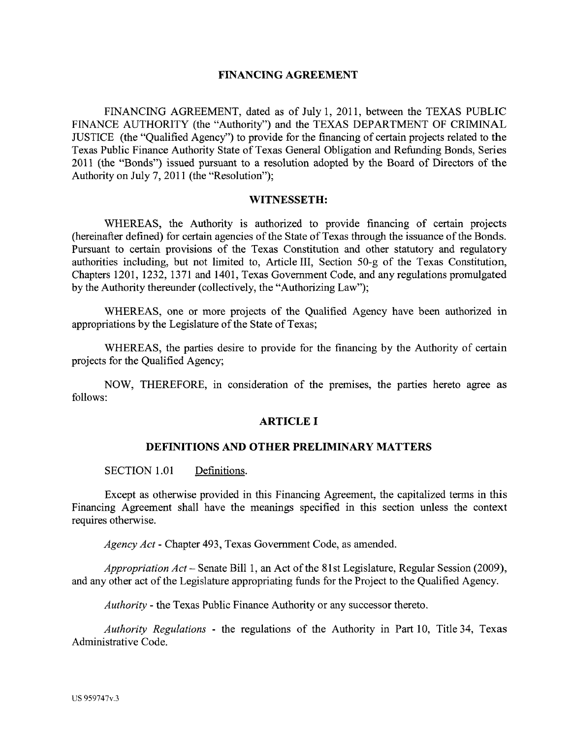#### **FINANCING AGREEMENT**

FINANCING AGREEMENT, dated as of July 1, 2011, between the TEXAS PUBLIC FINANCE AUTHORITY (the "Authority") and the TEXAS DEPARTMENT OF CRIMINAL JUSTICE (the "Qualified Agency") to provide for the financing of certain projects related to the Texas Public Finance Authority State of Texas General Obligation and Refunding Bonds, Series 2011 (the "Bonds") issued pursuant to a resolution adopted by the Board of Directors of the Authority on July 7, 2011 (the "Resolution");

#### **WITNESSETH:**

WHEREAS, the Authority is authorized to provide financing of certain projects (hereinafter defined) for certain agencies of the State of Texas through the issuance of the Bonds. Pursuant to certain provisions of the Texas Constitution and other statutory and regulatory authorities including, but not limited to, Article III, Section 50-g of the Texas Constitution, Chapters 1201, 1232, 1371 and 1401, Texas Government Code, and any regulations promulgated by the Authority thereunder (collectively, the "Authorizing Law");

WHEREAS, one or more projects of the Qualified Agency have been authorized in appropriations by the Legislature of the State of Texas;

WHEREAS, the parties desire to provide for the financing by the Authority of certain projects for the Qualified Agency;

NOW, THEREFORE, in consideration of the premises, the parties hereto agree as follows:

#### **ARTICLE I**

#### **DEFINITIONS AND OTHER PRELIMINARY MATTERS**

SECTION 1.01 Definitions.

Except as otherwise provided in this Financing Agreement, the capitalized terms in this Financing Agreement shall have the meanings specified in this section unless the context requires otherwise.

*Agency Act-* Chapter 493, Texas Government Code, as amended.

*Appropriation Act-* Senate Bill 1, an Act of the 81 st Legislature, Regular Session (2009), and any other act of the Legislature appropriating funds for the Project to the Qualified Agency.

*Authority* - the Texas Public Finance Authority or any successor thereto.

*Authority Regulations* - the regulations of the Authority in Part 10, Title 34, Texas Administrative Code.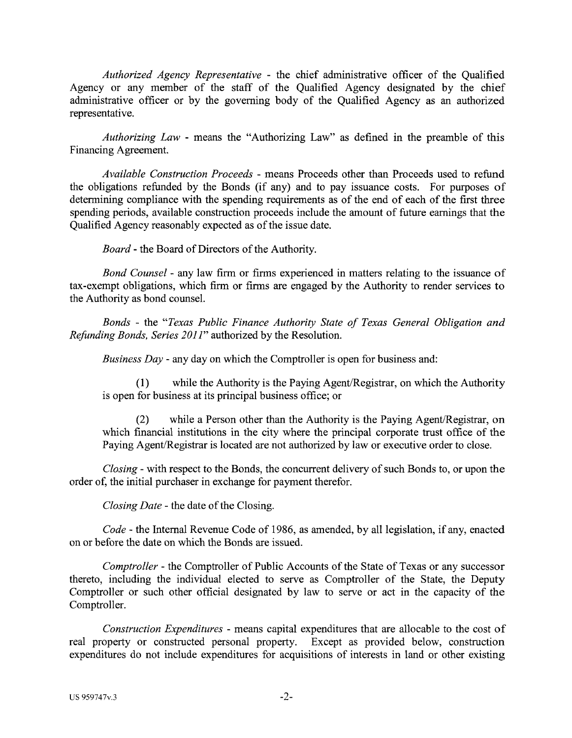*Authorized Agency Representative* - the chief administrative officer of the Qualified Agency or any member of the staff of the Qualified Agency designated by the chief administrative officer or by the governing body of the Qualified Agency as an authorized representative.

*Authorizing Law* - means the "Authorizing Law" as defined in the preamble of this Financing Agreement.

*Available Construction Proceeds* - means Proceeds other than Proceeds used to refund the obligations refunded by the Bonds (if any) and to pay issuance costs. For purposes of determining compliance with the spending requirements as of the end of each of the first three spending periods, available construction proceeds include the amount of future earnings that the Qualified Agency reasonably expected as of the issue date.

*Board* - the Board of Directors of the Authority.

*Bond Counsel* - any law firm or firms experienced in matters relating to the issuance of tax-exempt obligations, which firm or firms are engaged by the Authority to render services to the Authority as bond counsel.

*Bonds* - the *"Texas Public Finance Authority State of Texas General Obligation and Refunding Bonds, Series 2011"* authorized by the Resolution.

*Business Day* - any day on which the Comptroller is open for business and:

(1) while the Authority is the Paying Agent/Registrar, on which the Authority is open for business at its principal business office; or

(2) while a Person other than the Authority is the Paying Agent/Registrar, on which financial institutions in the city where the principal corporate trust office of the Paying Agent/Registrar is located are not authorized by law or executive order to close.

*Closing* - with respect to the Bonds, the concurrent delivery of such Bonds to, or upon the order of, the initial purchaser in exchange for payment therefor.

*Closing Date* - the date of the Closing.

*Code* - the Internal Revenue Code of 1986, as amended, by all legislation, if any, enacted on or before the date on which the Bonds are issued.

*Comptroller* - the Comptroller of Public Accounts of the State of Texas or any successor thereto, including the individual elected to serve as Comptroller of the State, the Deputy Comptroller or such other official designated by law to serve or act in the capacity of the Comptroller.

*Construction Expenditures* - means capital expenditures that are allocable to the cost of real property or constructed personal property. Except as provided below, construction expenditures do not include expenditures for acquisitions of interests in land or other existing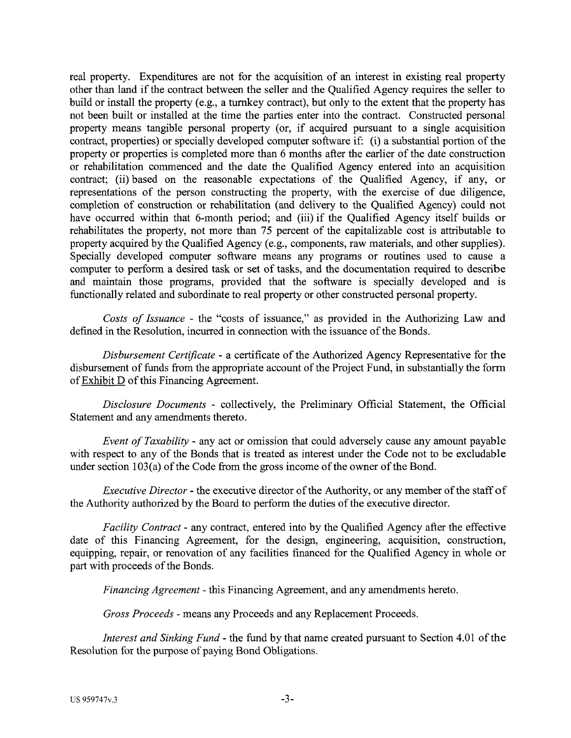real property. Expenditures are not for the acquisition of an interest in existing real property other than land if the contract between the seller and the Qualified Agency requires the seller to build or install the property (e.g., a turnkey contract), but only to the extent that the property has not been built or installed at the time the parties enter into the contract. Constructed personal property means tangible personal property (or, if acquired pursuant to a single acquisition contract, properties) or specially developed computer software if: (i) a substantial portion of the property or properties is completed more than 6 months after the earlier of the date construction or rehabilitation commenced and the date the Qualified Agency entered into an acquisition contract; (ii) based on the reasonable expectations of the Qualified Agency, if any, or representations of the person constructing the property, with the exercise of due diligence, completion of construction or rehabilitation (and delivery to the Qualified Agency) could not have occurred within that 6-month period; and (iii) if the Qualified Agency itself builds or rehabilitates the property, not more than 75 percent of the capitalizable cost is attributable to property acquired by the Qualified Agency (e.g., components, raw materials, and other supplies). Specially developed computer software means any programs or routines used to cause a computer to perform a desired task or set of tasks, and the documentation required to describe and maintain those programs, provided that the software is specially developed and is functionally related and subordinate to real property or other constructed personal property.

*Costs of Issuance* - the "costs of issuance," as provided in the Authorizing Law and defined in the Resolution, incurred in connection with the issuance of the Bonds.

*Disbursement Certificate* - a certificate of the Authorized Agency Representative for the disbursement of funds from the appropriate account of the Project Fund, in substantially the form of Exhibit D of this Financing Agreement.

*Disclosure Documents* - collectively, the Preliminary Official Statement, the Official Statement and any amendments thereto.

*Event of Taxability* - any act or omission that could adversely cause any amount payable with respect to any of the Bonds that is treated as interest under the Code not to be excludable under section 103(a) of the Code from the gross income of the owner of the Bond.

*Executive Director-* the executive director of the Authority, or any member of the staff of the Authority authorized by the Board to perform the duties of the executive director.

*Facility Contract-* any contract, entered into by the Qualified Agency after the effective date of this Financing Agreement, for the design, engineering, acquisition, construction, equipping, repair, or renovation of any facilities financed for the Qualified Agency in whole or part with proceeds of the Bonds.

*Financing Agreement* - this Financing Agreement, and any amendments hereto.

*Gross Proceeds* - means any Proceeds and any Replacement Proceeds.

*Interest and Sinking Fund-* the fund by that name created pursuant to Section 4.01 of the Resolution for the purpose of paying Bond Obligations.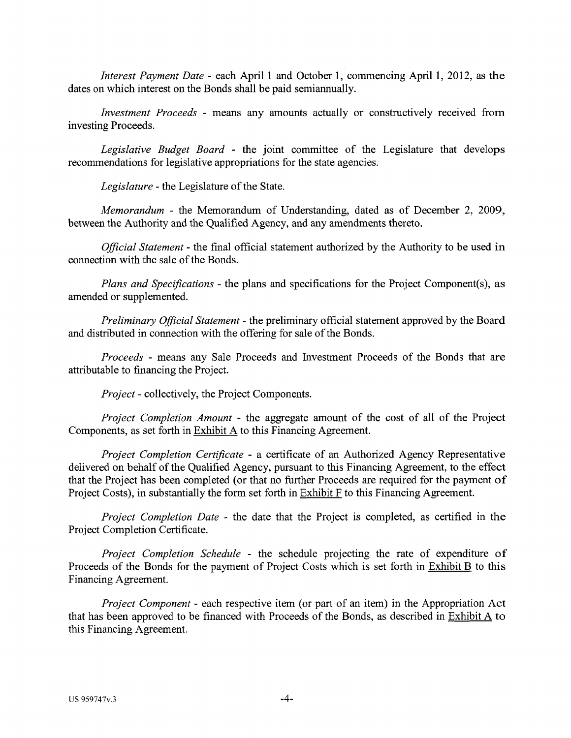*Interest Payment Date - each April 1 and October 1, commencing April 1, 2012, as the* dates on which interest on the Bonds shall be paid semiannually.

*Investment Proceeds* - means any amounts actually or constructively received from investing Proceeds.

*Legislative Budget Board* - the joint committee of the Legislature that develops recommendations for legislative appropriations for the state agencies.

*Legislature-* the Legislature of the State.

*Memorandum* - the Memorandum of Understanding, dated as of December 2, 2009, between the Authority and the Qualified Agency, and any amendments thereto.

*Official Statement* - the final official statement authorized by the Authority to be used in connection with the sale of the Bonds.

*Plans and Specifications* - the plans and specifications for the Project Component(s), as amended or supplemented.

*Preliminary Official Statement* - the preliminary official statement approved by the Board and distributed in connection with the offering for sale of the Bonds.

*Proceeds* - means any Sale Proceeds and Investment Proceeds of the Bonds that are attributable to financing the Project.

*Project-* collectively, the Project Components.

*Project Completion Amount* - the aggregate amount of the cost of all of the Project Components, as set forth in Exhibit A to this Financing Agreement.

*Project Completion Certificate* - a certificate of an Authorized Agency Representative delivered on behalf of the Qualified Agency, pursuant to this Financing Agreement, to the effect that the Project has been completed (or that no further Proceeds are required for the payment of Project Costs), in substantially the form set forth in Exhibit F to this Financing Agreement.

*Project Completion Date* - the date that the Project is completed, as certified in the Project Completion Certificate.

*Project Completion Schedule* - the schedule projecting the rate of expenditure of Proceeds of the Bonds for the payment of Project Costs which is set forth in Exhibit B to this Financing Agreement.

*Project Component* - each respective item (or part of an item) in the Appropriation Act that has been approved to be financed with Proceeds of the Bonds, as described in Exhibit  $\overline{A}$  to this Financing Agreement.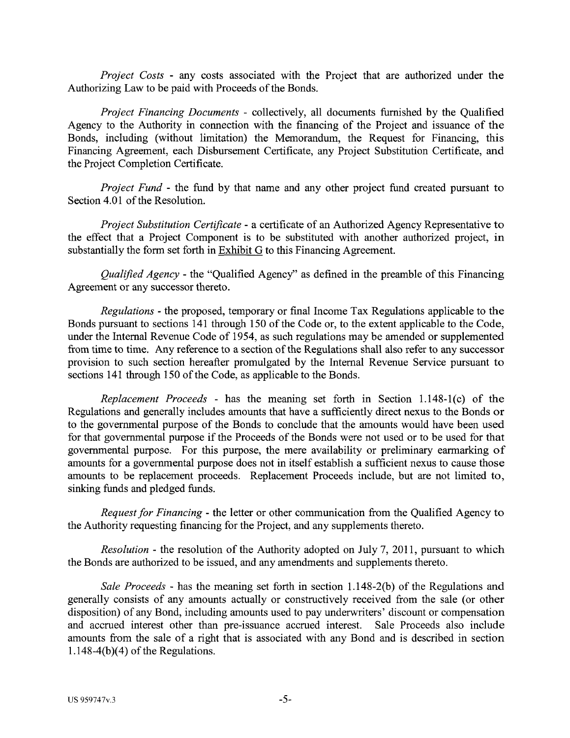*Project Costs* - any costs associated with the Project that are authorized under the Authorizing Law to be paid with Proceeds of the Bonds.

*Project Financing Documents* - collectively, all documents furnished by the Qualified Agency to the Authority in connection with the financing of the Project and issuance of the Bonds, including (without limitation) the Memorandum, the Request for Financing, this Financing Agreement, each Disbursement Certificate, any Project Substitution Certificate, and the Project Completion Certificate.

*Project Fund* - the fund by that name and any other project fund created pursuant to Section 4.01 of the Resolution.

*Project Substitution Certificate* - a certificate of an Authorized Agency Representative to the effect that a Project Component is to be substituted with another authorized project, in substantially the form set forth in Exhibit G to this Financing Agreement.

*Qualified Agency* - the "Qualified Agency" as defined in the preamble of this Financing Agreement or any successor thereto.

*Regulations* - the proposed, temporary or final Income Tax Regulations applicable to the Bonds pursuant to sections 141 through 150 of the Code or, to the extent applicable to the Code, under the Internal Revenue Code of 1954, as such regulations may be amended or supplemented from time to time. Any reference to a section of the Regulations shall also refer to any successor provision to such section hereafter promulgated by the Internal Revenue Service pursuant to sections 141 through 150 of the Code, as applicable to the Bonds.

*Replacement Proceeds* - has the meaning set forth in Section 1.148-1(c) of the Regulations and generally includes amounts that have a sufficiently direct nexus to the Bonds or to the governmental purpose of the Bonds to conclude that the amounts would have been used for that governmental purpose if the Proceeds of the Bonds were not used or to be used for that governmental purpose. For this purpose, the mere availability or preliminary earmarking of amounts for a governmental purpose does not in itself establish a sufficient nexus to cause those amounts to be replacement proceeds. Replacement Proceeds include, but are not limited to, sinking funds and pledged funds.

*Request for Financing* - the letter or other communication from the Qualified Agency to the Authority requesting financing for the Project, and any supplements thereto.

*Resolution* - the resolution of the Authority adopted on July 7, 2011, pursuant to which the Bonds are authorized to be issued, and any amendments and supplements thereto.

*Sale Proceeds* - has the meaning set forth in section 1.148-2(b) of the Regulations and generally consists of any amounts actually or constructively received from the sale (or other disposition) of any Bond, including amounts used to pay underwriters' discount or compensation and accrued interest other than pre-issuance accrued interest. Sale Proceeds also include amounts from the sale of a right that is associated with any Bond and is described in section  $1.148-4(b)(4)$  of the Regulations.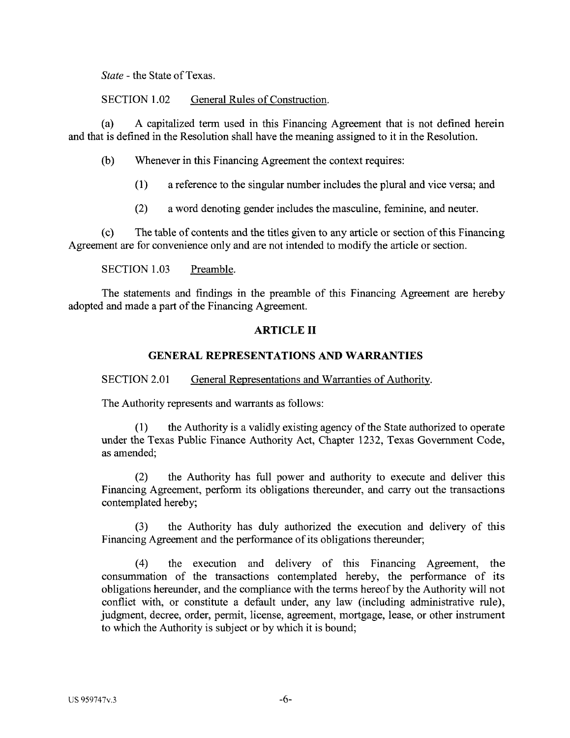*State* - the State of Texas.

SECTION 1.02 General Rules of Construction.

(a) A capitalized term used in this Financing Agreement that is not defined herein and that is defined in the Resolution shall have the meaning assigned to it in the Resolution.

(b) Whenever in this Financing Agreement the context requires:

- (1) a reference to the singular number includes the plural and vice versa; and
- (2) a word denoting gender includes the masculine, feminine, and neuter.

(c) The table of contents and the titles given to any article or section of this Financing Agreement are for convenience only and are not intended to modify the article or section.

SECTION 1.03 Preamble.

The statements and findings in the preamble of this Financing Agreement are hereby adopted and made a part of the Financing Agreement.

# **ARTICLE II**

## **GENERAL REPRESENTATIONS AND WARRANTIES**

SECTION 2.01 General Representations and Warranties of Authority.

The Authority represents and warrants as follows:

(1) the Authority is a validly existing agency of the State authorized to operate under the Texas Public Finance Authority Act, Chapter 1232, Texas Government Code, as amended;

(2) the Authority has full power and authority to execute and deliver this Financing Agreement, perform its obligations thereunder, and carry out the transactions contemplated hereby;

(3) the Authority has duly authorized the execution and delivery of this Financing Agreement and the performance of its obligations thereunder;

( 4) the execution and delivery of this Financing Agreement, the consummation of the transactions contemplated hereby, the performance of its obligations hereunder, and the compliance with the terms hereof by the Authority will not conflict with, or constitute a default under, any law (including administrative rule), judgment, decree, order, permit, license, agreement, mortgage, lease, or other instrument to which the Authority is subject or by which it is bound;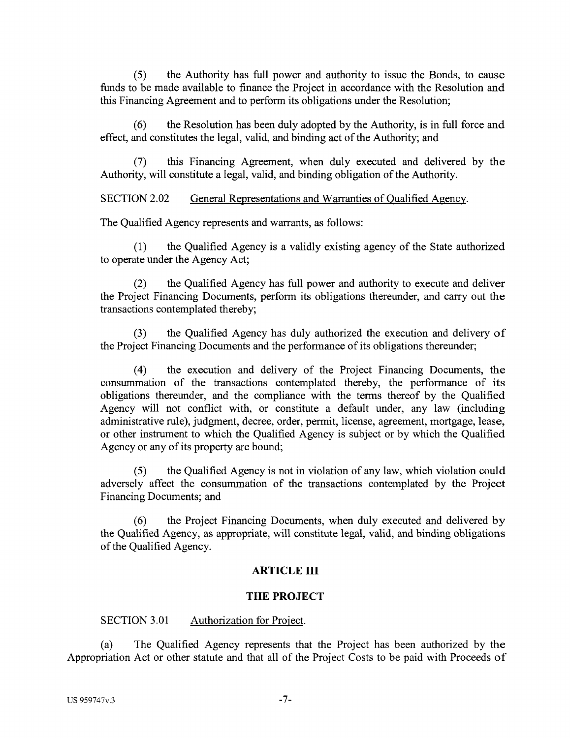(5) the Authority has full power and authority to issue the Bonds, to cause funds to be made available to finance the Project in accordance with the Resolution and this Financing Agreement and to perform its obligations under the Resolution;

(6) the Resolution has been duly adopted by the Authority, is in full force and effect, and constitutes the legal, valid, and binding act of the Authority; and

(7) this Financing Agreement, when duly executed and delivered by the Authority, will constitute a legal, valid, and binding obligation of the Authority.

SECTION 2.02 General Representations and Warranties of Oualified Agency.

The Qualified Agency represents and warrants, as follows:

(1) the Qualified Agency is a validly existing agency of the State authorized to operate under the Agency Act;

(2) the Qualified Agency has full power and authority to execute and deliver the Project Financing Documents, perform its obligations thereunder, and carry out the transactions contemplated thereby;

(3) the Qualified Agency has duly authorized the execution and delivery of the Project Financing Documents and the performance of its obligations thereunder;

(4) the execution and delivery of the Project Financing Documents, the consummation of the transactions contemplated thereby, the performance of its obligations thereunder, and the compliance with the terms thereof by the Qualified Agency will not conflict with, or constitute a default under, any law (including administrative rule), judgment, decree, order, permit, license, agreement, mortgage, lease, or other instrument to which the Qualified Agency is subject or by which the Qualified Agency or any of its property are bound;

(5) the Qualified Agency is not in violation of any law, which violation could adversely affect the consummation of the transactions contemplated by the Project Financing Documents; and

(6) the Project Financing Documents, when duly executed and delivered by the Qualified Agency, as appropriate, will constitute legal, valid, and binding obligations of the Qualified Agency.

# **ARTICLE III**

## **THE PROJECT**

## SECTION 3.01 Authorization for Project.

(a) The Qualified Agency represents that the Project has been authorized by the Appropriation Act or other statute and that all of the Project Costs to be paid with Proceeds of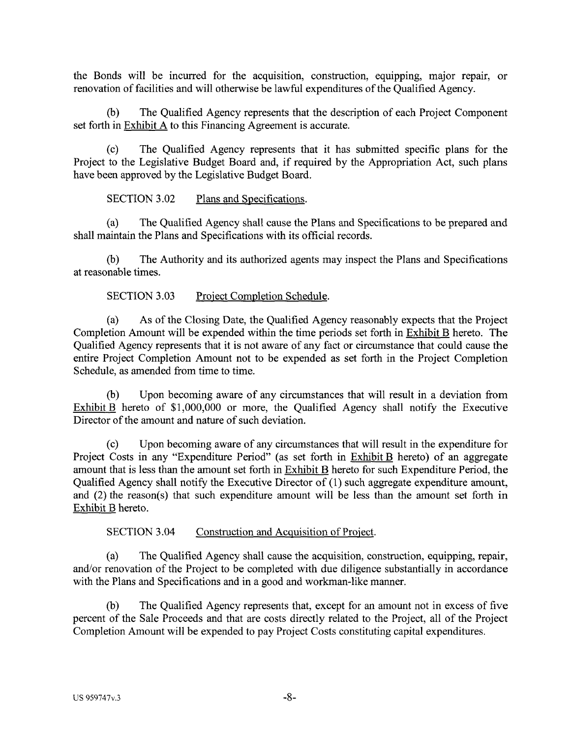the Bonds will be incurred for the acquisition, construction, equipping, major repair, or renovation of facilities and will otherwise be lawful expenditures of the Qualified Agency.

(b) The Qualified Agency represents that the description of each Project Component set forth in Exhibit A to this Financing Agreement is accurate.

(c) The Qualified Agency represents that it has submitted specific plans for the Project to the Legislative Budget Board and, if required by the Appropriation Act, such plans have been approved by the Legislative Budget Board.

SECTION 3.02 Plans and Specifications.

(a) The Qualified Agency shall cause the Plans and Specifications to be prepared and shall maintain the Plans and Specifications with its official records.

(b) The Authority and its authorized agents may inspect the Plans and Specifications at reasonable times.

SECTION 3.03 Project Completion Schedule.

(a) As of the Closing Date, the Qualified Agency reasonably expects that the Project Completion Amount will be expended within the time periods set forth in Exhibit B hereto. The Qualified Agency represents that it is not aware of any fact or circumstance that could cause the entire Project Completion Amount not to be expended as set forth in the Project Completion Schedule, as amended from time to time.

(b) Upon becoming aware of any circumstances that will result in a deviation from Exhibit B hereto of \$1,000,000 or more, the Qualified Agency shall notify the Executive Director of the amount and nature of such deviation.

(c) Upon becoming aware of any circumstances that will result in the expenditure for Project Costs in any "Expenditure Period" (as set forth in Exhibit B hereto) of an aggregate amount that is less than the amount set forth in Exhibit B hereto for such Expenditure Period, the Qualified Agency shall notify the Executive Director of (1) such aggregate expenditure amount, and (2) the reason(s) that such expenditure amount will be less than the amount set forth in Exhibit B hereto.

SECTION 3.04 Construction and Acquisition of Project.

(a) The Qualified Agency shall cause the acquisition, construction, equipping, repair, and/or renovation of the Project to be completed with due diligence substantially in accordance with the Plans and Specifications and in a good and workman-like manner.

(b) The Qualified Agency represents that, except for an amount not in excess of five percent of the Sale Proceeds and that are costs directly related to the Project, all of the Project Completion Amount will be expended to pay Project Costs constituting capital expenditures.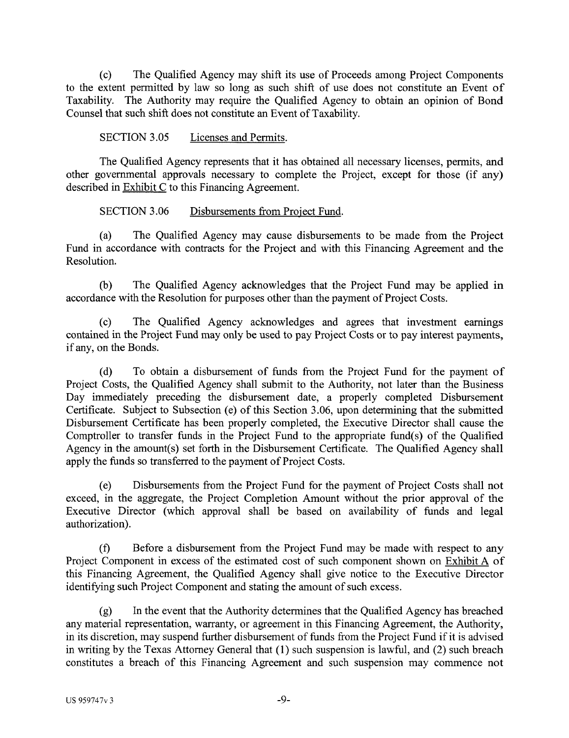(c) The Qualified Agency may shift its use of Proceeds among Project Components to the extent permitted by law so long as such shift of use does not constitute an Event of Taxability. The Authority may require the Qualified Agency to obtain an opinion of Bond Counsel that such shift does not constitute an Event of Taxability.

SECTION 3.05 Licenses and Permits.

The Qualified Agency represents that it has obtained all necessary licenses, permits, and other governmental approvals necessary to complete the Project, except for those (if any) described in Exhibit C to this Financing Agreement.

SECTION 3.06 Disbursements from Project Fund.

(a) The Qualified Agency may cause disbursements to be made from the Project Fund in accordance with contracts for the Project and with this Financing Agreement and the Resolution.

(b) The Qualified Agency acknowledges that the Project Fund may be applied in accordance with the Resolution for purposes other than the payment of Project Costs.

(c) The Qualified Agency acknowledges and agrees that investment earnings contained in the Project Fund may only be used to pay Project Costs or to pay interest payments, if any, on the Bonds.

(d) To obtain a disbursement of funds from the Project Fund for the payment of Project Costs, the Qualified Agency shall submit to the Authority, not later than the Business Day immediately preceding the disbursement date, a properly completed Disbursement Certificate. Subject to Subsection (e) of this Section 3 .06, upon determining that the submitted Disbursement Certificate has been properly completed, the Executive Director shall cause the Comptroller to transfer funds in the Project Fund to the appropriate fund(s) of the Qualified Agency in the amount(s) set forth in the Disbursement Certificate. The Qualified Agency shall apply the funds so transferred to the payment of Project Costs.

(e) Disbursements from the Project Fund for the payment of Project Costs shall not exceed, in the aggregate, the Project Completion Amount without the prior approval of the Executive Director (which approval shall be based on availability of funds and legal authorization).

(f) Before a disbursement from the Project Fund may be made with respect to any Project Component in excess of the estimated cost of such component shown on Exhibit A of this Financing Agreement, the Qualified Agency shall give notice to the Executive Director identifying such Project Component and stating the amount of such excess.

(g) In the event that the Authority determines that the Qualified Agency has breached any material representation, warranty, or agreement in this Financing Agreement, the Authority, in its discretion, may suspend further disbursement of funds from the Project Fund if it is advised in writing by the Texas Attorney General that (1) such suspension is lawful, and (2) such breach constitutes a breach of this Financing Agreement and such suspension may commence not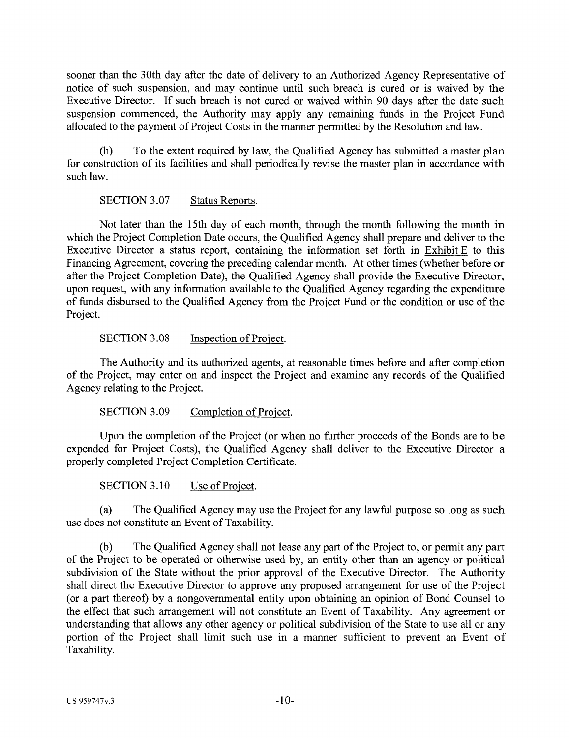sooner than the 30th day after the date of delivery to an Authorized Agency Representative of notice of such suspension, and may continue until such breach is cured or is waived by the Executive Director. If such breach is not cured or waived within 90 days after the date such suspension commenced, the Authority may apply any remaining funds in the Project Fund allocated to the payment of Project Costs in the manner permitted by the Resolution and law.

(h) To the extent required by law, the Qualified Agency has submitted a master plan for construction of its facilities and shall periodically revise the master plan in accordance with such law.

# SECTION 3.07 Status Reports.

Not later than the 15th day of each month, through the month following the month in which the Project Completion Date occurs, the Qualified Agency shall prepare and deliver to the Executive Director a status report, containing the information set forth in Exhibit E to this Financing Agreement, covering the preceding calendar month. At other times (whether before or after the Project Completion Date), the Qualified Agency shall provide the Executive Director, upon request, with any information available to the Qualified Agency regarding the expenditure of funds disbursed to the Qualified Agency from the Project Fund or the condition or use of the Project.

## SECTION 3.08 **Inspection of Project.**

The Authority and its authorized agents, at reasonable times before and after completion of the Project, may enter on and inspect the Project and examine any records of the Qualified Agency relating to the Project.

SECTION 3.09 Completion of Project.

Upon the completion of the Project (or when no further proceeds of the Bonds are to be expended for Project Costs), the Qualified Agency shall deliver to the Executive Director a properly completed Project Completion Certificate.

SECTION 3.10 Use of Project.

(a) The Qualified Agency may use the Project for any lawful purpose so long as such use does not constitute an Event of Taxability.

(b) The Qualified Agency shall not lease any part of the Project to, or permit any part of the Project to be operated or otherwise used by, an entity other than an agency or political subdivision of the State without the prior approval of the Executive Director. The Authority shall direct the Executive Director to approve any proposed arrangement for use of the Project (or a part thereof) by a nongovernmental entity upon obtaining an opinion of Bond Counsel to the effect that such arrangement will not constitute an Event of Taxability. Any agreement or understanding that allows any other agency or political subdivision of the State to use all or any portion of the Project shall limit such use in a manner sufficient to prevent an Event of Taxability.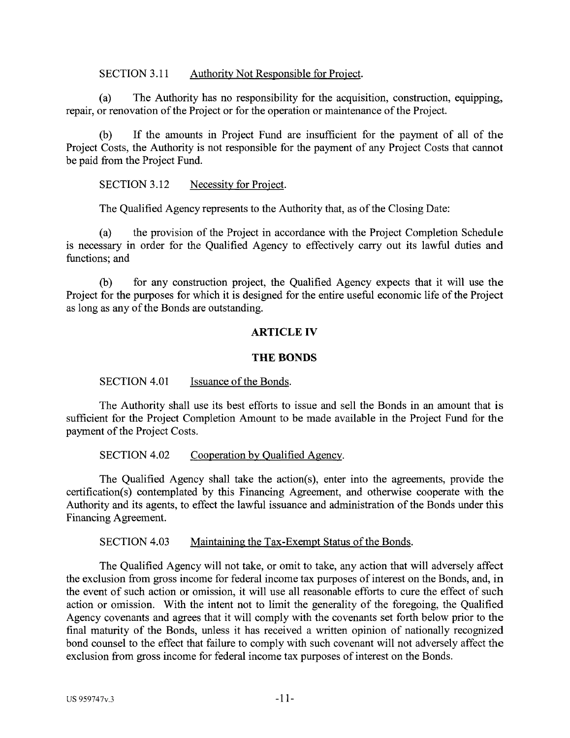SECTION 3.11 Authority Not Responsible for Project.

(a) The Authority has no responsibility for the acquisition, construction, equipping, repair, or renovation of the Project or for the operation or maintenance of the Project.

(b) If the amounts in Project Fund are insufficient for the payment of all of the Project Costs, the Authority is not responsible for the payment of any Project Costs that cannot be paid from the Project Fund.

SECTION 3.12 Necessity for Project.

The Qualified Agency represents to the Authority that, as of the Closing Date:

(a) the provision of the Project in accordance with the Project Completion Schedule is necessary in order for the Qualified Agency to effectively carry out its lawful duties and functions; and

(b) for any construction project, the Qualified Agency expects that it will use the Project for the purposes for which it is designed for the entire useful economic life of the Project as long as any of the Bonds are outstanding.

## **ARTICLE IV**

## **THE BONDS**

SECTION 4.01 Issuance of the Bonds.

The Authority shall use its best efforts to issue and sell the Bonds in an amount that is sufficient for the Project Completion Amount to be made available in the Project Fund for the payment of the Project Costs.

SECTION 4.02 Cooperation by Qualified Agency.

The Qualified Agency shall take the action(s), enter into the agreements, provide the certification(s) contemplated by this Financing Agreement, and otherwise cooperate with the Authority and its agents, to effect the lawful issuance and administration of the Bonds under this Financing Agreement.

SECTION 4.03 Maintaining the Tax-Exempt Status of the Bonds.

The Qualified Agency will not take, or omit to take, any action that will adversely affect the exclusion from gross income for federal income tax purposes of interest on the Bonds, and, in the event of such action or omission, it will use all reasonable efforts to cure the effect of such action or omission. With the intent not to limit the generality of the foregoing, the Qualified Agency covenants and agrees that it will comply with the covenants set forth below prior to the final maturity of the Bonds, unless it has received a written opinion of nationally recognized bond counsel to the effect that failure to comply with such covenant will not adversely affect the exclusion from gross income for federal income tax purposes of interest on the Bonds.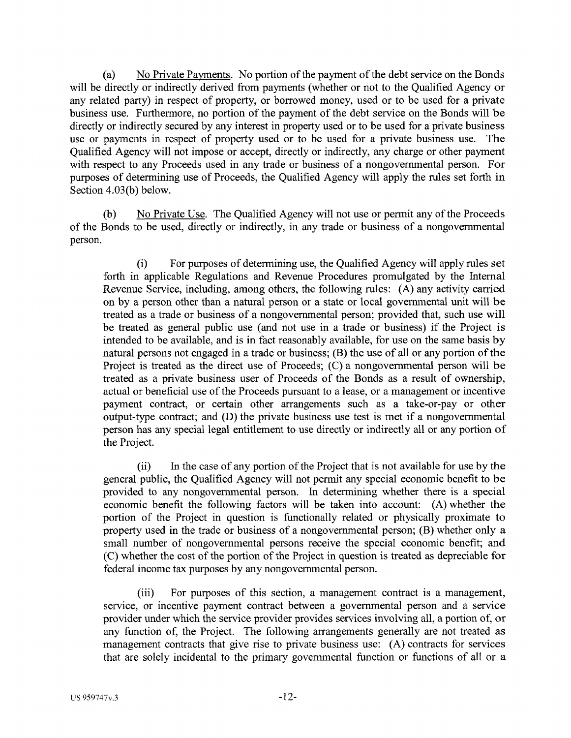(a) No Private Payments. No portion of the payment of the debt service on the Bonds will be directly or indirectly derived from payments (whether or not to the Qualified Agency or any related party) in respect of property, or borrowed money, used or to be used for a private business use. Furthermore, no portion of the payment of the debt service on the Bonds will be directly or indirectly secured by any interest in property used or to be used for a private business use or payments in respect of property used or to be used for a private business use. The Qualified Agency will not impose or accept, directly or indirectly, any charge or other payment with respect to any Proceeds used in any trade or business of a nongovernmental person. For purposes of determining use of Proceeds, the Qualified Agency will apply the rules set forth in Section 4.03(b) below.

(b) No Private Use. The Qualified Agency will not use or permit any of the Proceeds of the Bonds to be used, directly or indirectly, in any trade or business of a nongovernmental person.

(i) For purposes of determining use, the Qualified Agency will apply rules set forth in applicable Regulations and Revenue Procedures promulgated by the Internal Revenue Service, including, among others, the following rules: (A) any activity carried on by a person other than a natural person or a state or local governmental unit will be treated as a trade or business of a nongovernmental person; provided that, such use will be treated as general public use (and not use in a trade or business) if the Project is intended to be available, and is in fact reasonably available, for use on the same basis by natural persons not engaged in a trade or business; (B) the use of all or any portion of the Project is treated as the direct use of Proceeds; (C) a nongovernmental person will be treated as a private business user of Proceeds of the Bonds as a result of ownership, actual or beneficial use of the Proceeds pursuant to a lease, or a management or incentive payment contract, or certain other arrangements such as a take-or-pay or other output-type contract; and (D) the private business use test is met if a nongovernmental person has any special legal entitlement to use directly or indirectly all or any portion of the Project.

(ii) In the case of any portion of the Project that is not available for use by the general public, the Qualified Agency will not permit any special economic benefit to be provided to any nongovernmental person. In determining whether there is a special economic benefit the following factors will be taken into account: (A) whether the portion of the Project in question is functionally related or physically proximate to property used in the trade or business of a nongovernmental person; (B) whether only a small number of nongovernmental persons receive the special economic benefit; and (C) whether the cost of the portion of the Project in question is treated as depreciable for federal income tax purposes by any nongovernmental person.

(iii) For purposes of this section, a management contract is a management, service, or incentive payment contract between a governmental person and a service provider under which the service provider provides services involving all, a portion of, or any function of, the Project. The following arrangements generally are not treated as management contracts that give rise to private business use: (A) contracts for services that are solely incidental to the primary governmental function or functions of all or a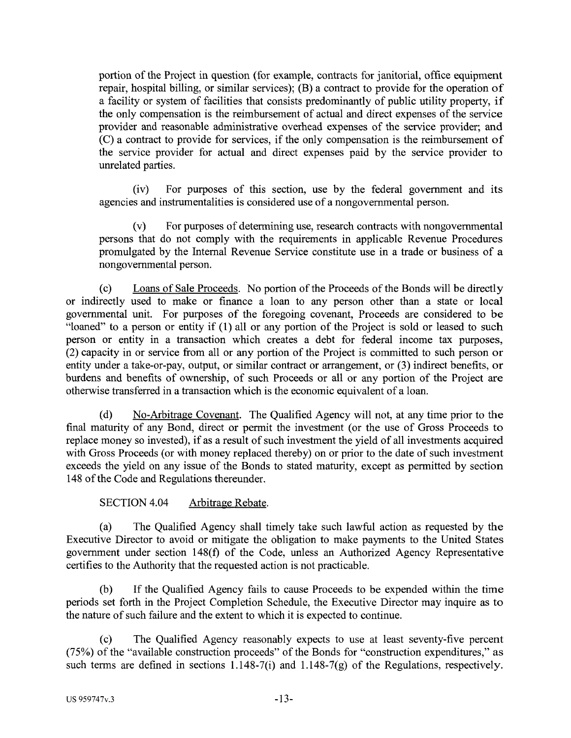portion of the Project in question (for example, contracts for janitorial, office equipment repair, hospital billing, or similar services); (B) a contract to provide for the operation of a facility or system of facilities that consists predominantly of public utility property, if the only compensation is the reimbursement of actual and direct expenses of the service provider and reasonable administrative overhead expenses of the service provider; and (C) a contract to provide for services, if the only compensation is the reimbursement of the service provider for actual and direct expenses paid by the service provider to unrelated parties.

(iv) For purposes of this section, use by the federal government and its agencies and instrumentalities is considered use of a nongovernmental person.

(v) For purposes of determining use, research contracts with nongovernmental persons that do not comply with the requirements in applicable Revenue Procedures promulgated by the Internal Revenue Service constitute use in a trade or business of a nongovernmental person.

(c) Loans of Sale Proceeds. No portion of the Proceeds of the Bonds will be directly or indirectly used to make or finance a loan to any person other than a state or local governmental unit. For purposes of the foregoing covenant, Proceeds are considered to be "loaned" to a person or entity if (1) all or any portion of the Project is sold or leased to such person or entity in a transaction which creates a debt for federal income tax purposes, (2) capacity in or service from all or any portion of the Project is committed to such person or entity under a take-or-pay, output, or similar contract or arrangement, or (3) indirect benefits, or burdens and benefits of ownership, of such Proceeds or all or any portion of the Project are otherwise transferred in a transaction which is the economic equivalent of a loan.

(d) No-Arbitrage Covenant. The Qualified Agency will not, at any time prior to the final maturity of any Bond, direct or permit the investment (or the use of Gross Proceeds to replace money so invested), if as a result of such investment the yield of all investments acquired with Gross Proceeds (or with money replaced thereby) on or prior to the date of such investment exceeds the yield on any issue of the Bonds to stated maturity, except as permitted by section 148 of the Code and Regulations thereunder.

SECTION 4.04 Arbitrage Rebate.

(a) The Qualified Agency shall timely take such lawful action as requested by the Executive Director to avoid or mitigate the obligation to make payments to the United States government under section 148(f) of the Code, unless an Authorized Agency Representative certifies to the Authority that the requested action is not practicable.

(b) If the Qualified Agency fails to cause Proceeds to be expended within the time periods set forth in the Project Completion Schedule, the Executive Director may inquire as to the nature of such failure and the extent to which it is expected to continue.

(c) The Qualified Agency reasonably expects to use at least seventy-five percent (75%) of the "available construction proceeds" of the Bonds for "construction expenditures," as such terms are defined in sections 1.148-7(i) and 1.148-7(g) of the Regulations, respectively.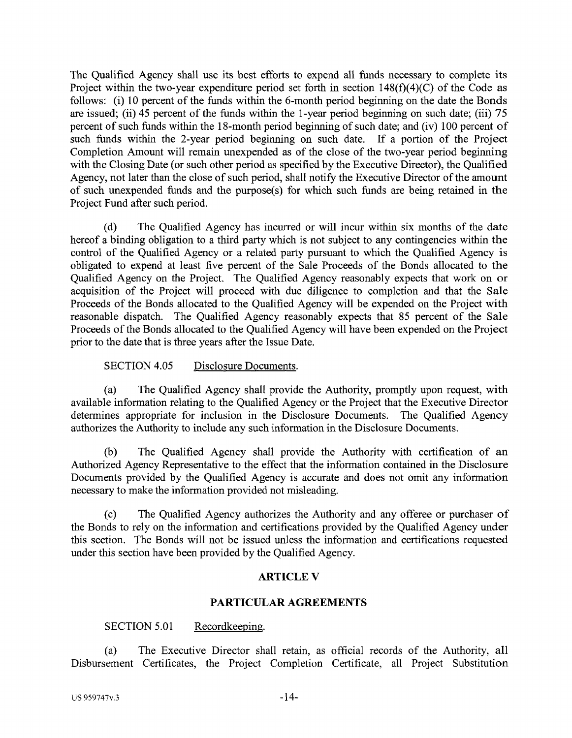The Qualified Agency shall use its best efforts to expend all funds necessary to complete its Project within the two-year expenditure period set forth in section 148(f)(4)(C) of the Code as follows: (i) 10 percent of the funds within the 6-month period beginning on the date the Bonds are issued; (ii)  $\overline{45}$  percent of the funds within the 1-year period beginning on such date; (iii) 75 percent of such funds within the 18-month period beginning of such date; and (iv) 100 percent of such funds within the 2-year period beginning on such date. If a portion of the Project Completion Amount will remain unexpended as of the close of the two-year period beginning with the Closing Date (or such other period as specified by the Executive Director), the Qualified Agency, not later than the close of such period, shall notify the Executive Director of the amount of such unexpended funds and the purpose(s) for which such funds are being retained in the Project Fund after such period.

(d) The Qualified Agency has incurred or will incur within six months of the date hereof a binding obligation to a third party which is not subject to any contingencies within the control of the Qualified Agency or a related party pursuant to which the Qualified Agency is obligated to expend at least five percent of the Sale Proceeds of the Bonds allocated to the Qualified Agency on the Project. The Qualified Agency reasonably expects that work on or acquisition of the Project will proceed with due diligence to completion and that the Sale Proceeds of the Bonds allocated to the Qualified Agency will be expended on the Project with reasonable dispatch. The Qualified Agency reasonably expects that 85 percent of the Sale Proceeds of the Bonds allocated to the Qualified Agency will have been expended on the Project prior to the date that is three years after the Issue Date.

SECTION 4.05 Disclosure Documents.

(a) The Qualified Agency shall provide the Authority, promptly upon request, with available information relating to the Qualified Agency or the Project that the Executive Director determines appropriate for inclusion in the Disclosure Documents. The Qualified Agency authorizes the Authority to include any such information in the Disclosure Documents.

(b) The Qualified Agency shall provide the Authority with certification of an Authorized Agency Representative to the effect that the information contained in the Disclosure Documents provided by the Qualified Agency is accurate and does not omit any information necessary to make the information provided not misleading.

(c) The Qualified Agency authorizes the Authority and any offeree or purchaser of the Bonds to rely on the information and certifications provided by the Qualified Agency under this section. The Bonds will not be issued unless the information and certifications requested under this section have been provided by the Qualified Agency.

# **ARTICLE V**

# **PARTICULAR AGREEMENTS**

## SECTION 5.01 Recordkeeping.

(a) The Executive Director shall retain, as official records of the Authority, all Disbursement Certificates, the Project Completion Certificate, all Project Substitution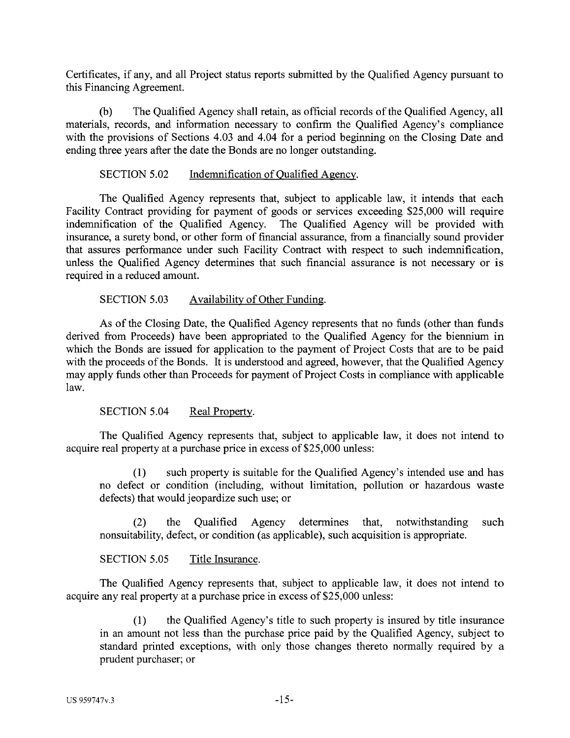Certificates, if any, and all Project status reports submitted by the Qualified Agency pursuant to this Financing Agreement.

(b) The Qualified Agency shall retain, as official records of the Qualified Agency, all materials, records, and information necessary to confirm the Qualified Agency's compliance with the provisions of Sections 4.03 and 4.04 for a period beginning on the Closing Date and ending three years after the date the Bonds are no longer outstanding.

## SECTION 5.02 Indemnification of Oualified Agency.

The Qualified Agency represents that, subject to applicable law, it intends that each Facility Contract providing for payment of goods or services exceeding \$25,000 will require indemnification of the Qualified Agency. The Qualified Agency will be provided with insurance, a surety bond, or other form of financial assurance, from a financially sound provider that assures performance under such Facility Contract with respect to such indemnification, unless the Qualified Agency determines that such financial assurance is not necessary or is required in a reduced amount.

# SECTION 5.03 Availability of Other Funding.

As of the Closing Date, the Qualified Agency represents that no funds (other than funds derived from Proceeds) have been appropriated to the Qualified Agency for the biennium in which the Bonds are issued for application to the payment of Project Costs that are to be paid with the proceeds of the Bonds. It is understood and agreed, however, that the Qualified Agency may apply funds other than Proceeds for payment of Project Costs in compliance with applicable law.

SECTION 5.04 Real Property.

The Qualified Agency represents that, subject to applicable law, it does not intend to acquire real property at a purchase price in excess of \$25,000 unless:

(1) such property is suitable for the Qualified Agency's intended use and has no defect or condition (including, without limitation, pollution or hazardous waste defects) that would jeopardize such use; or

(2) the Qualified Agency determines that, notwithstanding such nonsuitability, defect, or condition (as applicable), such acquisition is appropriate.

SECTION 5.05 Title Insurance.

The Qualified Agency represents that, subject to applicable law, it does not intend to acquire any real property at a purchase price in excess of \$25,000 unless:

(1) the Qualified Agency's title to such property is insured by title insurance in an amount not less than the purchase price paid by the Qualified Agency, subject to standard printed exceptions, with only those changes thereto normally required by a prudent purchaser; or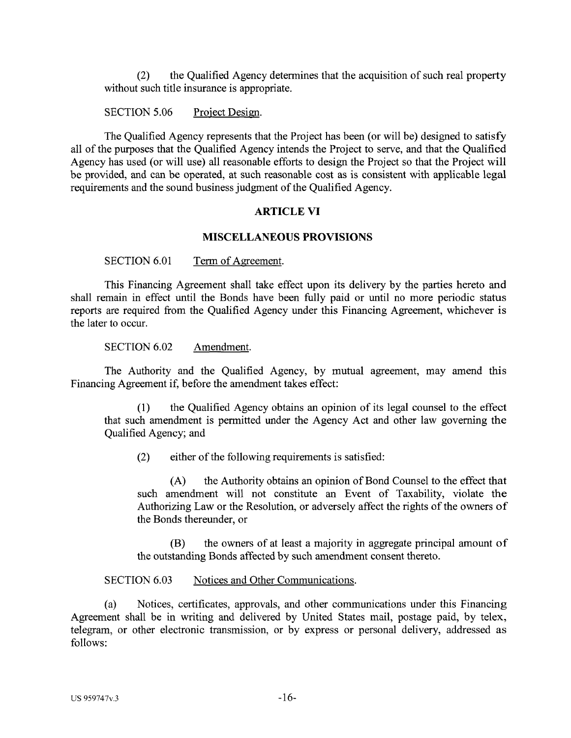(2) the Qualified Agency determines that the acquisition of such real property without such title insurance is appropriate.

SECTION 5.06 Project Design.

The Qualified Agency represents that the Project has been (or will be) designed to satisfy all of the purposes that the Qualified Agency intends the Project to serve, and that the Qualified Agency has used (or will use) all reasonable efforts to design the Project so that the Project will be provided, and can be operated, at such reasonable cost as is consistent with applicable legal requirements and the sound business judgment of the Qualified Agency.

#### **ARTICLE VI**

#### **MISCELLANEOUS PROVISIONS**

SECTION 6.01 Term of Agreement.

This Financing Agreement shall take effect upon its delivery by the parties hereto and shall remain in effect until the Bonds have been fully paid or until no more periodic status reports are required from the Qualified Agency under this Financing Agreement, whichever is the later to occur.

SECTION 6.02 Amendment.

The Authority and the Qualified Agency, by mutual agreement, may amend this Financing Agreement if, before the amendment takes effect:

(1) the Qualified Agency obtains an opinion of its legal counsel to the effect that such amendment is permitted under the Agency Act and other law governing the Qualified Agency; and

(2) either of the following requirements is satisfied:

(A) the Authority obtains an opinion of Bond Counsel to the effect that such amendment will not constitute an Event of Taxability, violate the Authorizing Law or the Resolution, or adversely affect the rights of the owners of the Bonds thereunder, or

(B) the owners of at least a majority in aggregate principal amount of the outstanding Bonds affected by such amendment consent thereto.

SECTION 6.03 Notices and Other Communications.

(a) Notices, certificates, approvals, and other communications under this Financing Agreement shall be in writing and delivered by United States mail, postage paid, by telex, telegram, or other electronic transmission, or by express or personal delivery, addressed as follows: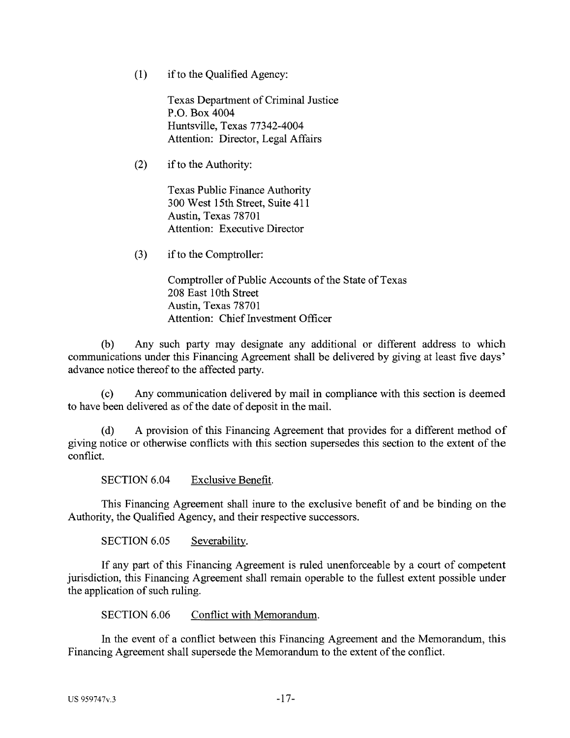$(1)$  if to the Qualified Agency:

Texas Department of Criminal Justice P.O. Box 4004 Huntsville, Texas 77342-4004 Attention: Director, Legal Affairs

(2) if to the Authority:

Texas Public Finance Authority 300 West 15th Street, Suite 411 Austin, Texas 78701 Attention: Executive Director

(3) ifto the Comptroller:

Comptroller of Public Accounts of the State of Texas 208 East 1Oth Street Austin, Texas 78701 Attention: Chief Investment Officer

(b) Any such party may designate any additional or different address to which communications under this Financing Agreement shall be delivered by giving at least five days' advance notice thereof to the affected party.

(c) Any communication delivered by mail in compliance with this section is deemed to have been delivered as of the date of deposit in the mail.

(d) A provision of this Financing Agreement that provides for a different method of giving notice or otherwise conflicts with this section supersedes this section to the extent of the conflict.

SECTION 6.04 Exclusive Benefit.

This Financing Agreement shall inure to the exclusive benefit of and be binding on the Authority, the Qualified Agency, and their respective successors.

SECTION 6.05 Severability.

If any part of this Financing Agreement is ruled unenforceable by a court of competent jurisdiction, this Financing Agreement shall remain operable to the fullest extent possible under the application of such ruling.

SECTION 6.06 Conflict with Memorandum.

In the event of a conflict between this Financing Agreement and the Memorandum, this Financing Agreement shall supersede the Memorandum to the extent of the conflict.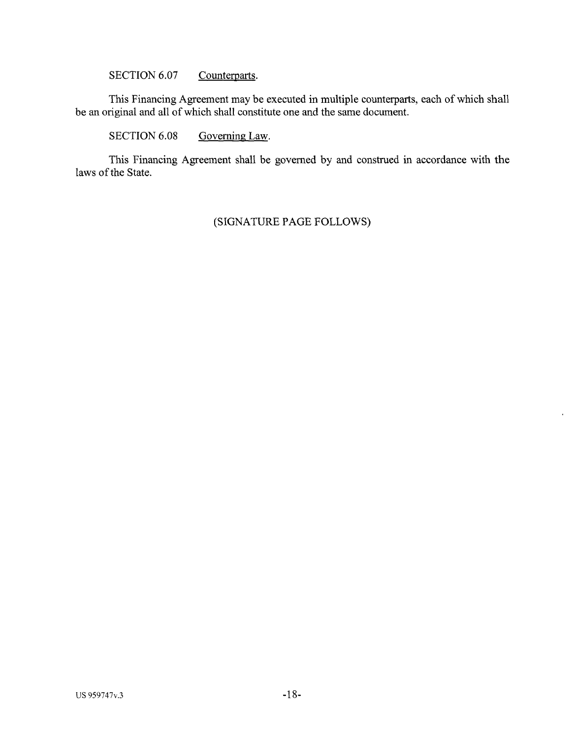SECTION 6.07 Counterparts.

This Financing Agreement may be executed in multiple counterparts, each of which shall be an original and all of which shall constitute one and the same document.

SECTION 6.08 Governing Law.

This Financing Agreement shall be governed by and construed in accordance with the laws of the State.

# (SIGNATURE PAGE FOLLOWS)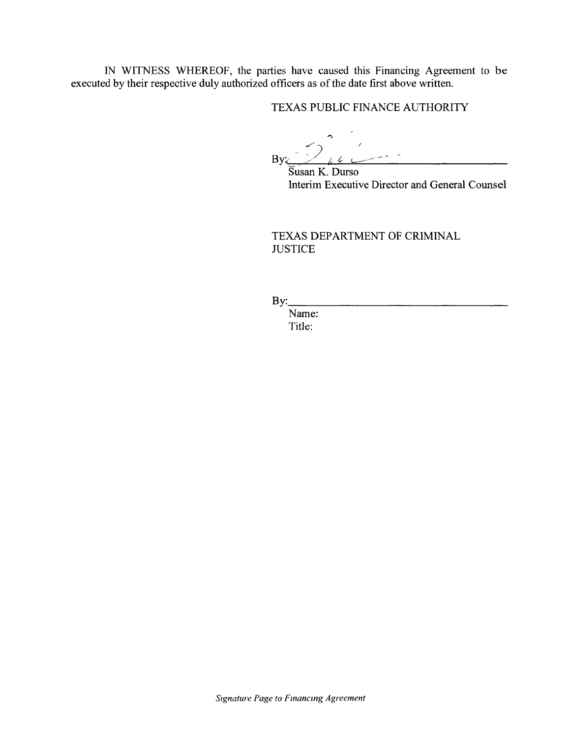IN WITNESS WHEREOF, the parties have caused this Financing Agreement to be executed by their respective duly authorized officers as of the date first above written.

TEXAS PUBLIC FINANCE AUTHORITY

 $\left( \begin{array}{ccc} & \bullet & \bullet & \bullet \\ & & \bullet & \bullet \end{array} \right)$ By: <u>/ <sub>6</sub> e</u>

Susan K. Durso Interim Executive Director and General Counsel

TEXAS DEPARTMENT OF CRIMINAL **JUSTICE** 

By: \_\_\_\_\_\_\_\_\_\_\_\_\_\_\_\_ \_

Name: Title: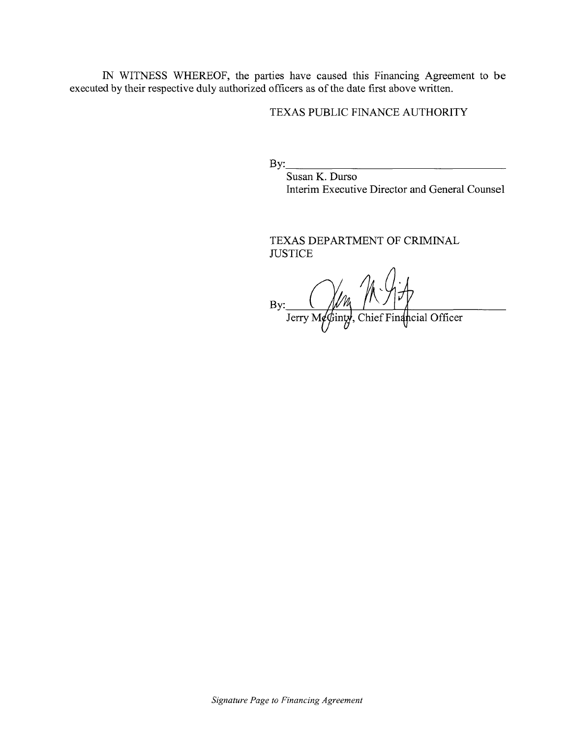IN WITNESS WHEREOF, the parties have caused this Financing Agreement to be executed by their respective duly authorized officers as of the date first above written.

## TEXAS PUBLIC FINANCE AUTHORITY

 $\mathbf{By:}$ 

Susan K. Durso Interim Executive Director and General Counsel

TEXAS DEPARTMENT OF CRIMINAL **JUSTICE** 

By:  $\frac{m}{\sqrt{m}}$  ( $\frac{m}{m}$ )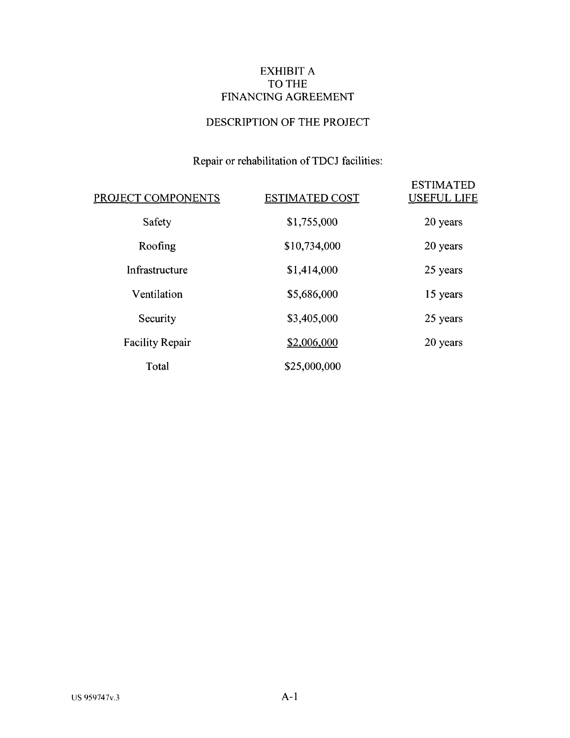# EXHIBIT A TO THE FINANCING AGREEMENT

# DESCRIPTION OF THE PROJECT

# Repair or rehabilitation of TDCJ facilities:

| PROJECT COMPONENTS     | <b>ESTIMATED COST</b> | <b>ESTIMATED</b><br><b>USEFUL LIFE</b> |
|------------------------|-----------------------|----------------------------------------|
| Safety                 | \$1,755,000           | 20 years                               |
| Roofing                | \$10,734,000          | 20 years                               |
| Infrastructure         | \$1,414,000           | 25 years                               |
| Ventilation            | \$5,686,000           | 15 years                               |
| Security               | \$3,405,000           | 25 years                               |
| <b>Facility Repair</b> | \$2,006,000           | 20 years                               |
| Total                  | \$25,000,000          |                                        |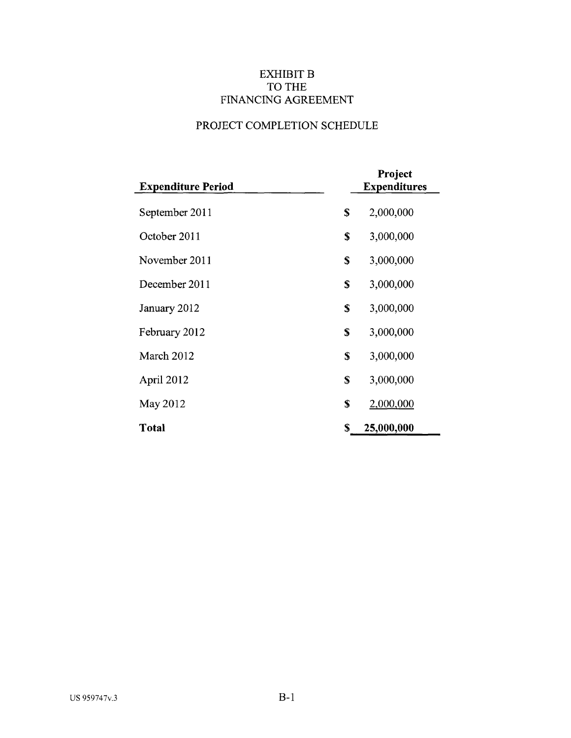# EXHIBIT **B** TO THE FINANCING AGREEMENT

# PROJECT COMPLETION SCHEDULE

| <b>Expenditure Period</b> | Project<br><b>Expenditures</b> |
|---------------------------|--------------------------------|
| September 2011            | \$<br>2,000,000                |
| October 2011              | \$<br>3,000,000                |
| November 2011             | \$<br>3,000,000                |
| December 2011             | \$<br>3,000,000                |
| January 2012              | \$<br>3,000,000                |
| February 2012             | \$<br>3,000,000                |
| March 2012                | \$<br>3,000,000                |
| April 2012                | \$<br>3,000,000                |
| May 2012                  | \$<br>2,000,000                |
| Total                     | \$<br>25,000,000               |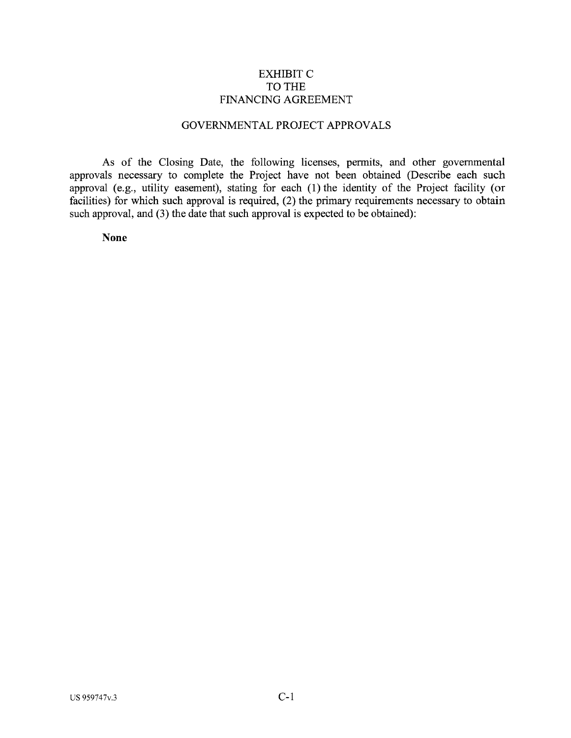## EXHIBITC TO THE FINANCING AGREEMENT

# GOVERNMENTAL PROJECT APPROVALS

As of the Closing Date, the following licenses, permits, and other governmental approvals necessary to complete the Project have not been obtained (Describe each such approval (e.g., utility easement), stating for each (1) the identity of the Project facility (or facilities) for which such approval is required, (2) the primary requirements necessary to obtain such approval, and (3) the date that such approval is expected to be obtained):

**None**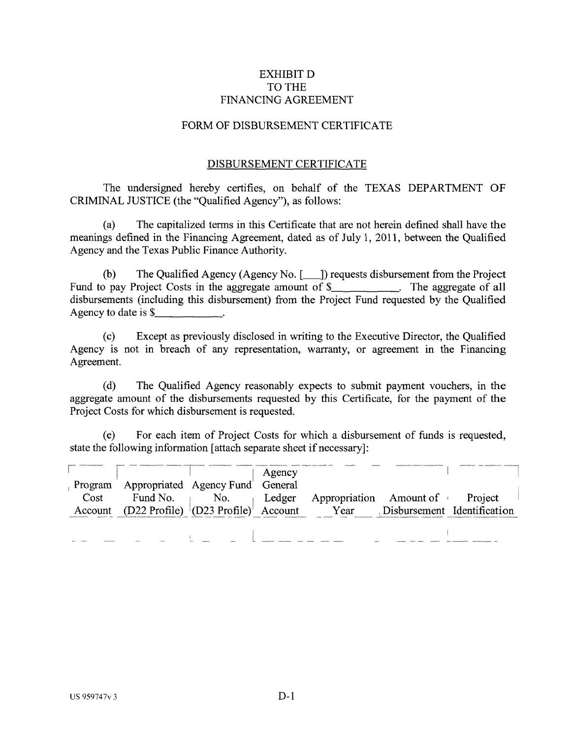## EXHIBIT D TO THE FINANCING AGREEMENT

## FORM OF DISBURSEMENT CERTIFICATE

#### DISBURSEMENT CERTIFICATE

The undersigned hereby certifies, on behalf of the TEXAS DEPARTMENT OF CRIMINAL JUSTICE (the "Qualified Agency"), as follows:

(a) The capitalized terms in this Certificate that are not herein defined shall have the meanings defined in the Financing Agreement, dated as of July 1, 2011, between the Qualified Agency and the Texas Public Finance Authority.

(b) The Qualified Agency (Agency No.  $[\_\]$ ) requests disbursement from the Project Fund to pay Project Costs in the aggregate amount of \$ . The aggregate of all disbursements (including this disbursement) from the Project Fund requested by the Qualified Agency to date is \$

(c) Except as previously disclosed in writing to the Executive Director, the Qualified Agency is not in breach of any representation, warranty, or agreement in the Financing Agreement.

(d) The Qualified Agency reasonably expects to submit payment vouchers, in the aggregate amount of the disbursements requested by this Certificate, for the payment of the Project Costs for which disbursement is requested.

(e) For each item of Project Costs for which a disbursement of funds is requested, state the following information [attach separate sheet if necessary]:

|      |                                                            | Agency |                                                     |  |
|------|------------------------------------------------------------|--------|-----------------------------------------------------|--|
|      | Program Appropriated Agency Fund General                   |        |                                                     |  |
| Cost | Fund No. $\blacksquare$                                    |        | No. $\theta$ Ledger Appropriation Amount of Project |  |
|      | Account (D22 Profile) $[D23 P \text{rofile}]$ Account Year |        | Disbursement Identification                         |  |
|      |                                                            |        |                                                     |  |
|      |                                                            |        |                                                     |  |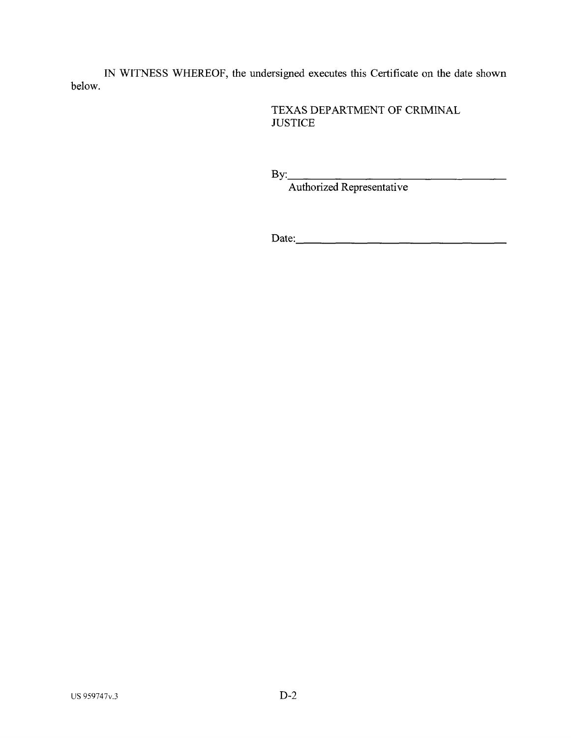IN WITNESS WHEREOF, the undersigned executes this Certificate on the date shown below.

> TEXAS DEPARTMENT OF CRIMINAL **JUSTICE**

 $Bv:$ 

Authorized Representative

Date: \_\_\_\_\_\_\_\_\_\_\_\_\_\_\_ \_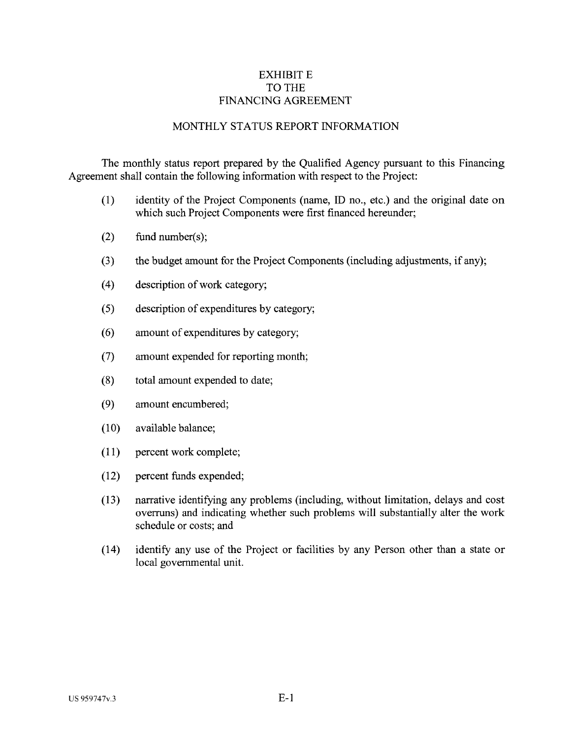# **EXHIBIT E** TO THE FINANCING AGREEMENT

## MONTHLY STATUS REPORT INFORMATION

The monthly status report prepared by the Qualified Agency pursuant to this Financing Agreement shall contain the following information with respect to the Project:

- (1) identity of the Project Components (name, ID no., etc.) and the original date on which such Project Components were first financed hereunder;
- (2) fund number(s);
- (3) the budget amount for the Project Components (including adjustments, if any);
- ( 4) description of work category;
- (5) description of expenditures by category;
- ( 6) amount of expenditures by category;
- (7) amount expended for reporting month;
- (8) total amount expended to date;
- (9) amount encumbered;
- $(10)$  available balance;
- (11) percent work complete;
- (12) percent funds expended;
- (13) narrative identifying any problems (including, without limitation, delays and cost overruns) and indicating whether such problems will substantially alter the work schedule or costs; and
- (14) identify any use of the Project or facilities by any Person other than a state or local governmental unit.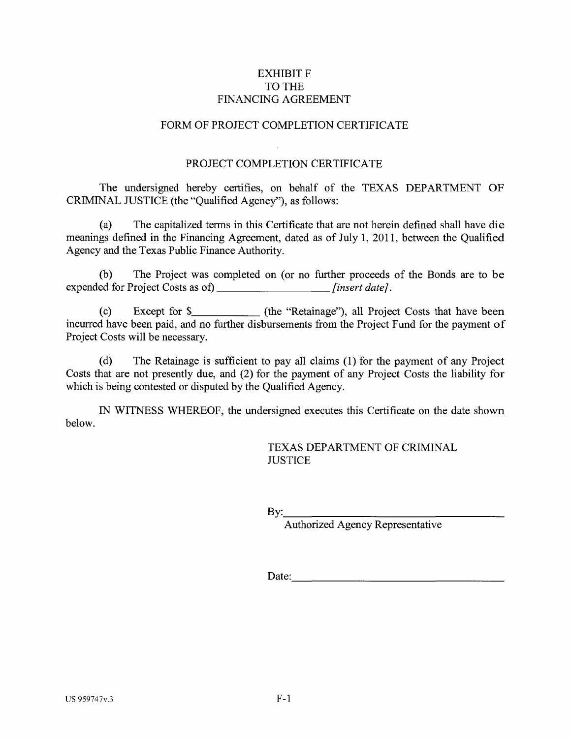# EXHIBIT F TO THE FINANCING AGREEMENT

## FORM OF PROJECT COMPLETION CERTIFICATE

#### PROJECT COMPLETION CERTIFICATE

The undersigned hereby certifies, on behalf of the TEXAS DEPARTMENT OF CRIMINAL JUSTICE (the "Qualified Agency"), as follows:

(a) The capitalized terms in this Certificate that are not herein defined shall have die meanings defined in the Financing Agreement, dated as of July 1, 2011, between the Qualified Agency and the Texas Public Finance Authority.

(b) The Project was completed on (or no further proceeds of the Bonds are to be expended for Project Costs as of) *[insert date]*.

(c) Except for  $\frac{1}{2}$  (the "Retainage"), all Project Costs that have been incurred have been paid, and no further disbursements from the Project Fund for the payment of Project Costs will be necessary.

(d) The Retainage is sufficient to pay all claims (1) for the payment of any Project Costs that are not presently due, and (2) for the payment of any Project Costs the liability for which is being contested or disputed by the Qualified Agency.

IN WITNESS WHEREOF, the undersigned executes this Certificate on the date shown below.

> TEXAS DEPARTMENT OF CRIMINAL **JUSTICE**

 $\mathbf{B} \mathbf{y}$ :

Authorized Agency Representative

Date: